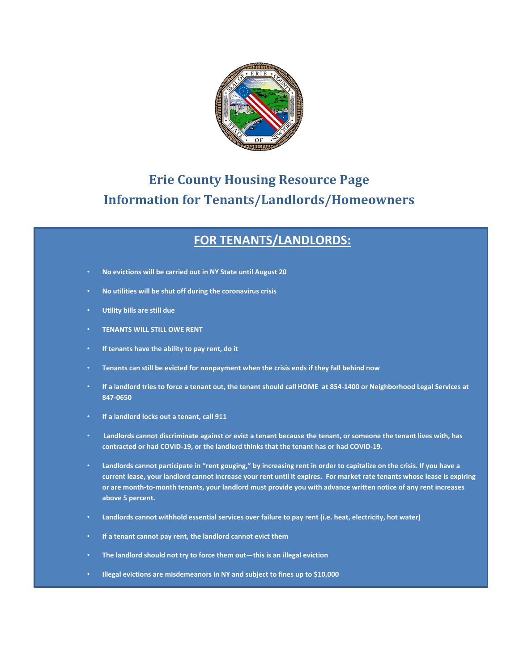

## **Erie County Housing Resource Page Information for Tenants/Landlords/Homeowners**

## **FOR TENANTS/LANDLORDS:**

- **No evictions will be carried out in NY State until August 20**
- **No utilities will be shut off during the coronavirus crisis**
- **Utility bills are still due**
- **TENANTS WILL STILL OWE RENT**
- **If tenants have the ability to pay rent, do it**
- **Tenants can still be evicted for nonpayment when the crisis ends if they fall behind now**
- **If a landlord tries to force a tenant out, the tenant should call HOME at 854-1400 or Neighborhood Legal Services at 847-0650**
- **If a landlord locks out a tenant, call 911**
- **Landlords cannot discriminate against or evict a tenant because the tenant, or someone the tenant lives with, has contracted or had COVID-19, or the landlord thinks that the tenant has or had COVID-19.**
- **Landlords cannot participate in "rent gouging," by increasing rent in order to capitalize on the crisis. If you have a current lease, your landlord cannot increase your rent until it expires. For market rate tenants whose lease is expiring or are month-to-month tenants, your landlord must provide you with advance written notice of any rent increases above 5 percent.**
- **Landlords cannot withhold essential services over failure to pay rent (i.e. heat, electricity, hot water)**
- **If a tenant cannot pay rent, the landlord cannot evict them**
- **The landlord should not try to force them out—this is an illegal eviction**
- **Illegal evictions are misdemeanors in NY and subject to fines up to \$10,000**